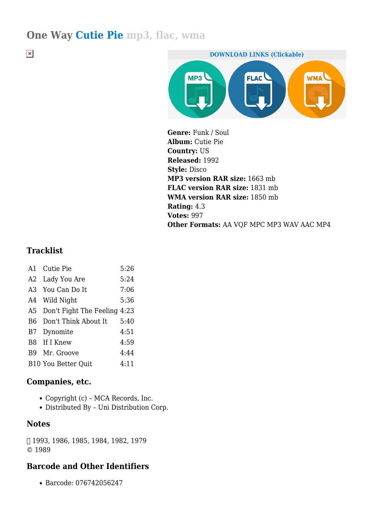# **One Way Cutie Pie mp3, flac, wma**

 $\pmb{\times}$ 



**Genre:** Funk / Soul **Album:** Cutie Pie **Country:** US **Released:** 1992 **Style:** Disco **MP3 version RAR size:** 1663 mb **FLAC version RAR size:** 1831 mb **WMA version RAR size:** 1850 mb **Rating:** 4.3 **Votes:** 997 **Other Formats:** AA VQF MPC MP3 WAV AAC MP4

## **Tracklist**

|                | A1 Cutie Pie                 | 5:26 |
|----------------|------------------------------|------|
| A2             | Lady You Are                 | 5:24 |
| A3             | You Can Do It                | 7:06 |
| A4             | Wild Night                   | 5:36 |
| A5             | Don't Fight The Feeling 4:23 |      |
| B <sub>6</sub> | Don't Think About It         | 5:40 |
| <b>B7</b>      | Dynomite                     | 4:51 |
|                | B8 If I Knew                 | 4:59 |
| B9             | Mr. Groove                   | 4:44 |
|                | <b>B10 You Better Quit</b>   | 4:11 |
|                |                              |      |

## **Companies, etc.**

- Copyright (c) MCA Records, Inc.
- Distributed By Uni Distribution Corp.

#### **Notes**

℗ 1993, 1986, 1985, 1984, 1982, 1979 © 1989

## **Barcode and Other Identifiers**

Barcode: 076742056247